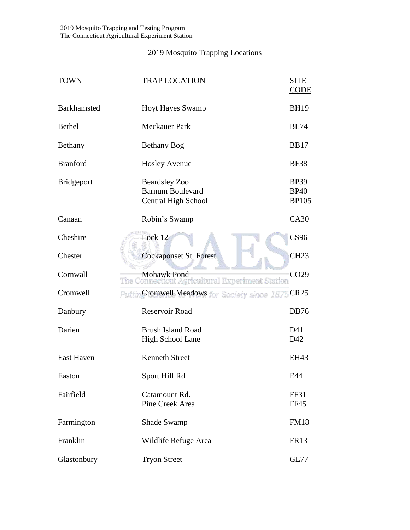## 2019 Mosquito Trapping Locations

| <b>TOWN</b>       | <b>TRAP LOCATION</b>                                                          | <b>SITE</b><br><b>CODE</b>                 |
|-------------------|-------------------------------------------------------------------------------|--------------------------------------------|
| Barkhamsted       | <b>Hoyt Hayes Swamp</b>                                                       | <b>BH19</b>                                |
| <b>Bethel</b>     | <b>Meckauer Park</b>                                                          | <b>BE74</b>                                |
| Bethany           | <b>Bethany Bog</b>                                                            | <b>BB17</b>                                |
| <b>Branford</b>   | <b>Hosley Avenue</b>                                                          | <b>BF38</b>                                |
| <b>Bridgeport</b> | <b>Beardsley Zoo</b><br><b>Barnum Boulevard</b><br><b>Central High School</b> | <b>BP39</b><br><b>BP40</b><br><b>BP105</b> |
| Canaan            | Robin's Swamp                                                                 | CA30                                       |
| Cheshire          | Lock 12                                                                       | <b>CS96</b>                                |
| Chester           | <b>Cockaponset St. Forest</b>                                                 | <b>CH23</b>                                |
| Cornwall          | Mohawk Pond<br>The Connecticut Agricultural Experiment Station                | CO <sub>29</sub>                           |
| Cromwell          | PuttinCromwell Meadows for Society since 1875                                 | <b>CR25</b>                                |
| Danbury           | Reservoir Road                                                                | <b>DB76</b>                                |
| Darien            | <b>Brush Island Road</b><br>High School Lane                                  | D41<br>D42                                 |
| <b>East Haven</b> | <b>Kenneth Street</b>                                                         | EH43                                       |
| Easton            | Sport Hill Rd                                                                 | E44                                        |
| Fairfield         | Catamount Rd.<br>Pine Creek Area                                              | <b>FF31</b><br><b>FF45</b>                 |
| Farmington        | <b>Shade Swamp</b>                                                            | <b>FM18</b>                                |
| Franklin          | Wildlife Refuge Area                                                          | <b>FR13</b>                                |
| Glastonbury       | <b>Tryon Street</b>                                                           | GL77                                       |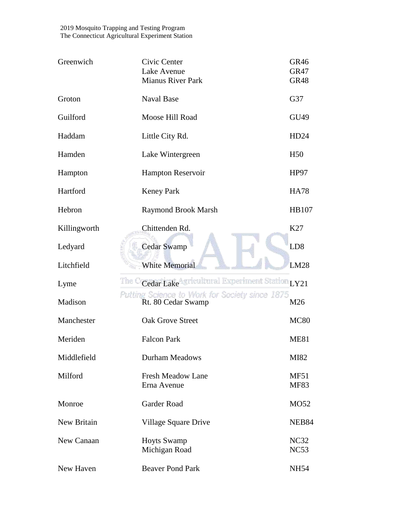2019 Mosquito Trapping and Testing Program The Connecticut Agricultural Experiment Station

| Greenwich    | Civic Center<br>Lake Avenue<br><b>Mianus River Park</b>              | GR <sub>46</sub><br><b>GR47</b><br><b>GR48</b> |
|--------------|----------------------------------------------------------------------|------------------------------------------------|
| Groton       | <b>Naval Base</b>                                                    | G37                                            |
| Guilford     | Moose Hill Road                                                      | GU49                                           |
| Haddam       | Little City Rd.                                                      | HD24                                           |
| Hamden       | Lake Wintergreen                                                     | H <sub>50</sub>                                |
| Hampton      | Hampton Reservoir                                                    | HP97                                           |
| Hartford     | <b>Keney Park</b>                                                    | <b>HA78</b>                                    |
| Hebron       | <b>Raymond Brook Marsh</b>                                           | <b>HB107</b>                                   |
| Killingworth | Chittenden Rd.                                                       | K27                                            |
| Ledyard      | <b>Cedar Swamp</b>                                                   | LD <sub>8</sub>                                |
| Litchfield   | <b>White Memorial</b>                                                | <b>LM28</b>                                    |
| Lyme         | The C<br>Cedar LakeAgricultural Experiment Station LY21              |                                                |
| Madison      | Putting Science to Work for Society since 1875<br>Rt. 80 Cedar Swamp | M26                                            |
| Manchester   | <b>Oak Grove Street</b>                                              | <b>MC80</b>                                    |
| Meriden      | <b>Falcon Park</b>                                                   | <b>ME81</b>                                    |
| Middlefield  | <b>Durham Meadows</b>                                                | MI82                                           |
| Milford      | <b>Fresh Meadow Lane</b><br>Erna Avenue                              | <b>MF51</b><br><b>MF83</b>                     |
| Monroe       | Garder Road                                                          | MO52                                           |
| New Britain  | Village Square Drive                                                 | NEB84                                          |
| New Canaan   | <b>Hoyts Swamp</b><br>Michigan Road                                  | NC32<br>NC53                                   |
| New Haven    | <b>Beaver Pond Park</b>                                              | <b>NH54</b>                                    |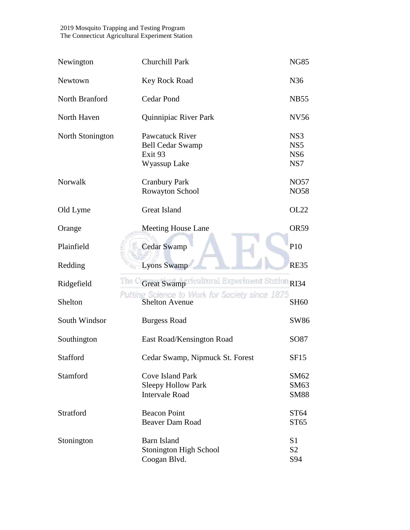## 2019 Mosquito Trapping and Testing Program The Connecticut Agricultural Experiment Station

| Newington        | <b>Churchill Park</b>                                                            | <b>NG85</b>                                      |
|------------------|----------------------------------------------------------------------------------|--------------------------------------------------|
| Newtown          | Key Rock Road                                                                    | N36                                              |
| North Branford   | <b>Cedar Pond</b>                                                                | <b>NB55</b>                                      |
| North Haven      | Quinnipiac River Park                                                            | <b>NV56</b>                                      |
| North Stonington | Pawcatuck River<br><b>Bell Cedar Swamp</b><br>Exit <sub>93</sub><br>Wyassup Lake | NS3<br>NS <sub>5</sub><br>NS <sub>6</sub><br>NS7 |
| Norwalk          | <b>Cranbury Park</b><br>Rowayton School                                          | <b>NO57</b><br><b>NO58</b>                       |
| Old Lyme         | <b>Great Island</b>                                                              | <b>OL22</b>                                      |
| Orange           | <b>Meeting House Lane</b>                                                        | <b>OR59</b>                                      |
| Plainfield       | <b>Cedar Swamp</b>                                                               | P <sub>10</sub>                                  |
| Redding          | <b>Lyons Swamp</b>                                                               | <b>RE35</b>                                      |
| Ridgefield       | The C<br>Great Swamp ricultural Experiment Station RI34                          |                                                  |
| Shelton          | Putting Science to Work for Society since 1875<br><b>Shelton Avenue</b>          | <b>SH60</b>                                      |
| South Windsor    | <b>Burgess Road</b>                                                              | SW86                                             |
| Southington      | East Road/Kensington Road                                                        | SO87                                             |
| <b>Stafford</b>  | Cedar Swamp, Nipmuck St. Forest                                                  | <b>SF15</b>                                      |
| Stamford         | <b>Cove Island Park</b><br><b>Sleepy Hollow Park</b><br><b>Intervale Road</b>    | SM62<br>SM63<br><b>SM88</b>                      |
| Stratford        | <b>Beacon Point</b><br><b>Beaver Dam Road</b>                                    | ST64<br>ST <sub>65</sub>                         |
| Stonington       | <b>Barn Island</b><br><b>Stonington High School</b><br>Coogan Blvd.              | S <sub>1</sub><br>S <sub>2</sub><br>S94          |